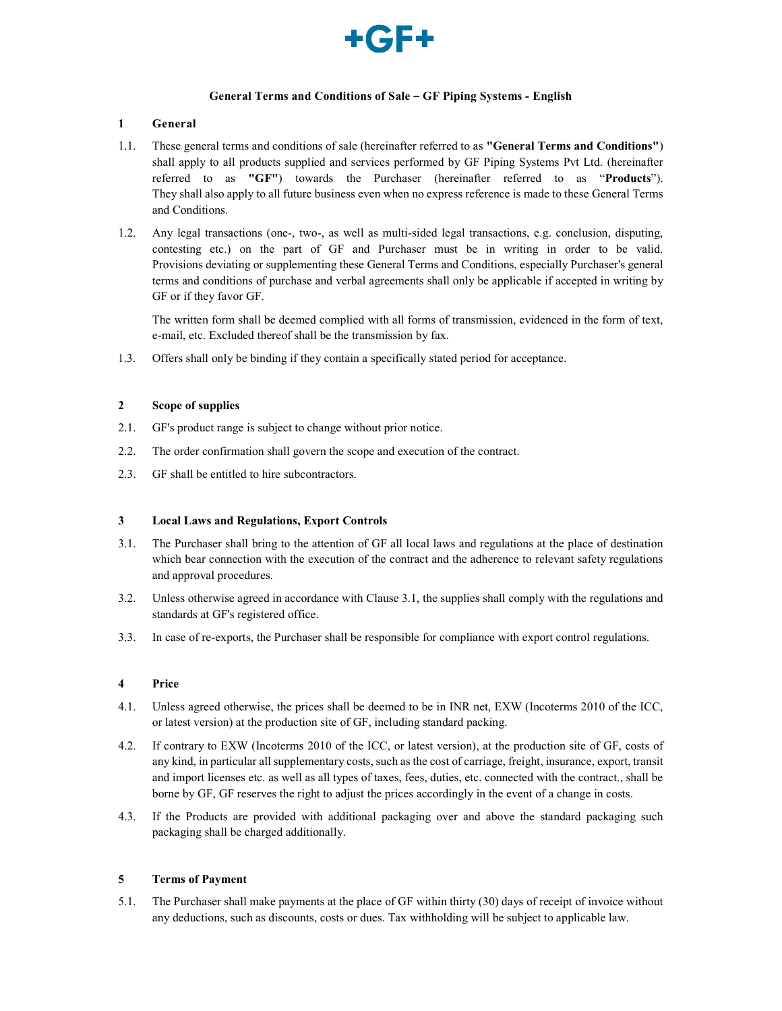

## General Terms and Conditions of Sale – GF Piping Systems - English

# 1 General

- 1.1. These general terms and conditions of sale (hereinafter referred to as "General Terms and Conditions") shall apply to all products supplied and services performed by GF Piping Systems Pvt Ltd. (hereinafter referred to as "GF") towards the Purchaser (hereinafter referred to as "Products"). They shall also apply to all future business even when no express reference is made to these General Terms and Conditions.
- 1.2. Any legal transactions (one-, two-, as well as multi-sided legal transactions, e.g. conclusion, disputing, contesting etc.) on the part of GF and Purchaser must be in writing in order to be valid. Provisions deviating or supplementing these General Terms and Conditions, especially Purchaser's general terms and conditions of purchase and verbal agreements shall only be applicable if accepted in writing by GF or if they favor GF.

The written form shall be deemed complied with all forms of transmission, evidenced in the form of text, e-mail, etc. Excluded thereof shall be the transmission by fax.

1.3. Offers shall only be binding if they contain a specifically stated period for acceptance.

## 2 Scope of supplies

- 2.1. GF's product range is subject to change without prior notice.
- 2.2. The order confirmation shall govern the scope and execution of the contract.
- 2.3. GF shall be entitled to hire subcontractors.

## 3 Local Laws and Regulations, Export Controls

- 3.1. The Purchaser shall bring to the attention of GF all local laws and regulations at the place of destination which bear connection with the execution of the contract and the adherence to relevant safety regulations and approval procedures.
- 3.2. Unless otherwise agreed in accordance with Clause 3.1, the supplies shall comply with the regulations and standards at GF's registered office.
- 3.3. In case of re-exports, the Purchaser shall be responsible for compliance with export control regulations.

## 4 Price

- 4.1. Unless agreed otherwise, the prices shall be deemed to be in INR net, EXW (Incoterms 2010 of the ICC, or latest version) at the production site of GF, including standard packing.
- 4.2. If contrary to EXW (Incoterms 2010 of the ICC, or latest version), at the production site of GF, costs of any kind, in particular all supplementary costs, such as the cost of carriage, freight, insurance, export, transit and import licenses etc. as well as all types of taxes, fees, duties, etc. connected with the contract., shall be borne by GF, GF reserves the right to adjust the prices accordingly in the event of a change in costs.
- 4.3. If the Products are provided with additional packaging over and above the standard packaging such packaging shall be charged additionally.

## 5 Terms of Payment

5.1. The Purchaser shall make payments at the place of GF within thirty (30) days of receipt of invoice without any deductions, such as discounts, costs or dues. Tax withholding will be subject to applicable law.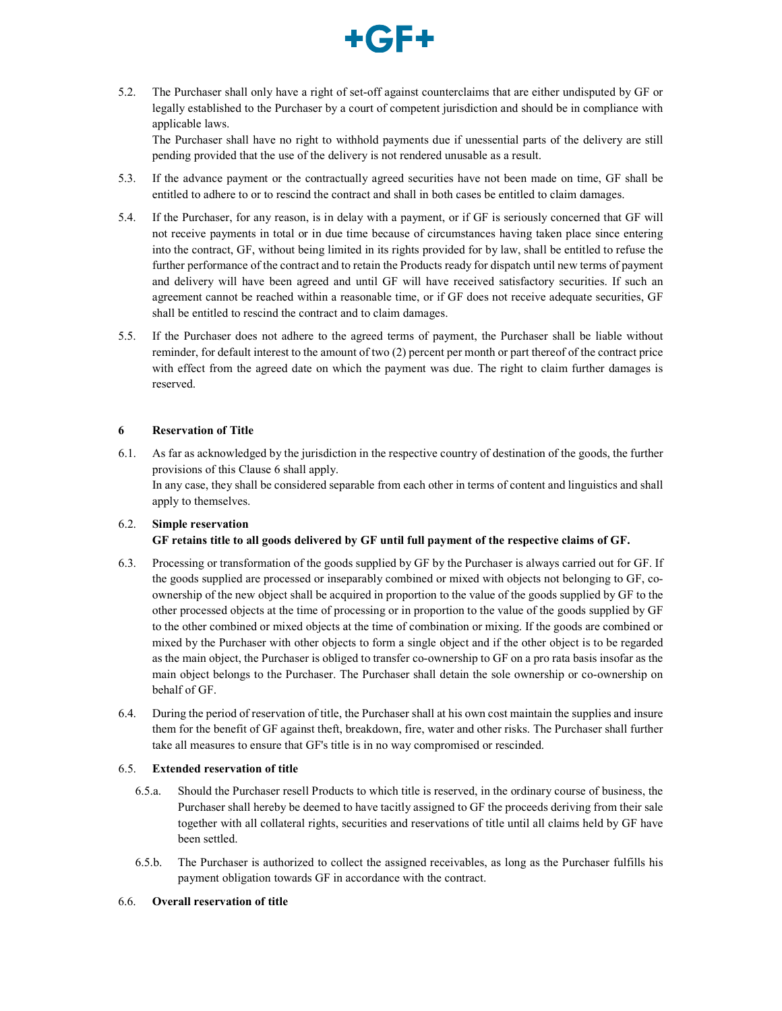

5.2. The Purchaser shall only have a right of set-off against counterclaims that are either undisputed by GF or legally established to the Purchaser by a court of competent jurisdiction and should be in compliance with applicable laws.

The Purchaser shall have no right to withhold payments due if unessential parts of the delivery are still pending provided that the use of the delivery is not rendered unusable as a result.

- 5.3. If the advance payment or the contractually agreed securities have not been made on time, GF shall be entitled to adhere to or to rescind the contract and shall in both cases be entitled to claim damages.
- 5.4. If the Purchaser, for any reason, is in delay with a payment, or if GF is seriously concerned that GF will not receive payments in total or in due time because of circumstances having taken place since entering into the contract, GF, without being limited in its rights provided for by law, shall be entitled to refuse the further performance of the contract and to retain the Products ready for dispatch until new terms of payment and delivery will have been agreed and until GF will have received satisfactory securities. If such an agreement cannot be reached within a reasonable time, or if GF does not receive adequate securities, GF shall be entitled to rescind the contract and to claim damages.
- 5.5. If the Purchaser does not adhere to the agreed terms of payment, the Purchaser shall be liable without reminder, for default interest to the amount of two (2) percent per month or part thereof of the contract price with effect from the agreed date on which the payment was due. The right to claim further damages is reserved.

## 6 Reservation of Title

6.1. As far as acknowledged by the jurisdiction in the respective country of destination of the goods, the further provisions of this Clause 6 shall apply. In any case, they shall be considered separable from each other in terms of content and linguistics and shall apply to themselves.

# 6.2. Simple reservation GF retains title to all goods delivered by GF until full payment of the respective claims of GF.

- 6.3. Processing or transformation of the goods supplied by GF by the Purchaser is always carried out for GF. If the goods supplied are processed or inseparably combined or mixed with objects not belonging to GF, coownership of the new object shall be acquired in proportion to the value of the goods supplied by GF to the other processed objects at the time of processing or in proportion to the value of the goods supplied by GF to the other combined or mixed objects at the time of combination or mixing. If the goods are combined or mixed by the Purchaser with other objects to form a single object and if the other object is to be regarded as the main object, the Purchaser is obliged to transfer co-ownership to GF on a pro rata basis insofar as the main object belongs to the Purchaser. The Purchaser shall detain the sole ownership or co-ownership on behalf of GF.
- 6.4. During the period of reservation of title, the Purchaser shall at his own cost maintain the supplies and insure them for the benefit of GF against theft, breakdown, fire, water and other risks. The Purchaser shall further take all measures to ensure that GF's title is in no way compromised or rescinded.

## 6.5. Extended reservation of title

- 6.5.a. Should the Purchaser resell Products to which title is reserved, in the ordinary course of business, the Purchaser shall hereby be deemed to have tacitly assigned to GF the proceeds deriving from their sale together with all collateral rights, securities and reservations of title until all claims held by GF have been settled.
- 6.5.b. The Purchaser is authorized to collect the assigned receivables, as long as the Purchaser fulfills his payment obligation towards GF in accordance with the contract.

#### 6.6. Overall reservation of title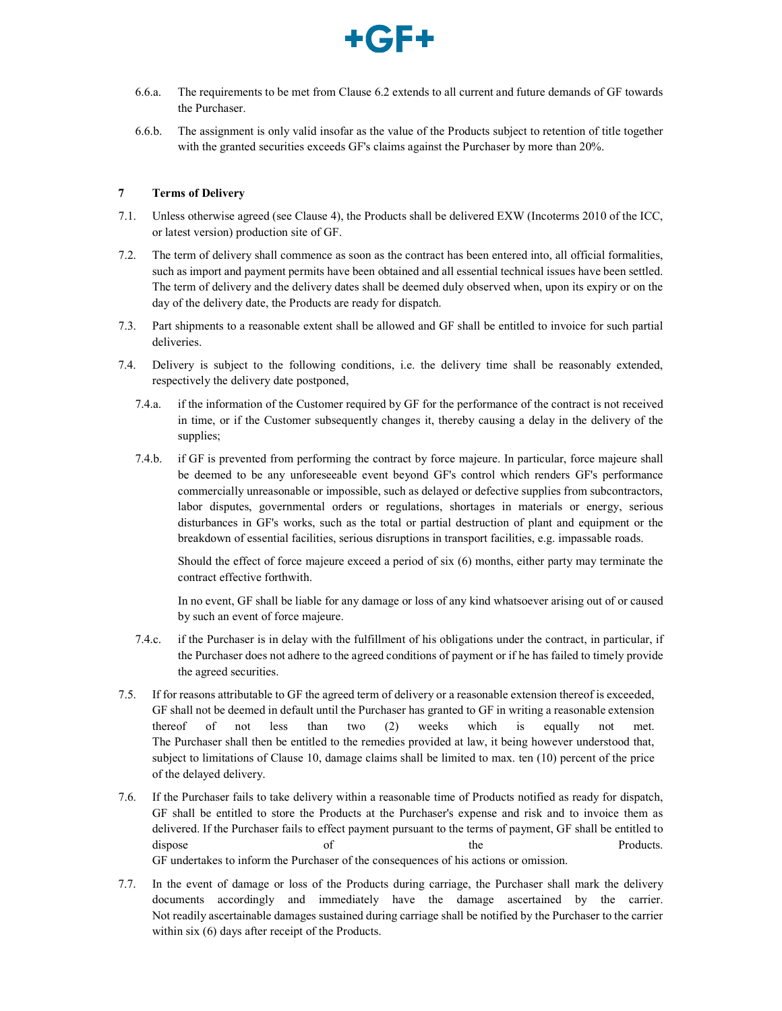

- 6.6.a. The requirements to be met from Clause 6.2 extends to all current and future demands of GF towards the Purchaser.
- 6.6.b. The assignment is only valid insofar as the value of the Products subject to retention of title together with the granted securities exceeds GF's claims against the Purchaser by more than 20%.

## 7 Terms of Delivery

- 7.1. Unless otherwise agreed (see Clause 4), the Products shall be delivered EXW (Incoterms 2010 of the ICC, or latest version) production site of GF.
- 7.2. The term of delivery shall commence as soon as the contract has been entered into, all official formalities, such as import and payment permits have been obtained and all essential technical issues have been settled. The term of delivery and the delivery dates shall be deemed duly observed when, upon its expiry or on the day of the delivery date, the Products are ready for dispatch.
- 7.3. Part shipments to a reasonable extent shall be allowed and GF shall be entitled to invoice for such partial deliveries.
- 7.4. Delivery is subject to the following conditions, i.e. the delivery time shall be reasonably extended, respectively the delivery date postponed,
	- 7.4.a. if the information of the Customer required by GF for the performance of the contract is not received in time, or if the Customer subsequently changes it, thereby causing a delay in the delivery of the supplies;
	- 7.4.b. if GF is prevented from performing the contract by force majeure. In particular, force majeure shall be deemed to be any unforeseeable event beyond GF's control which renders GF's performance commercially unreasonable or impossible, such as delayed or defective supplies from subcontractors, labor disputes, governmental orders or regulations, shortages in materials or energy, serious disturbances in GF's works, such as the total or partial destruction of plant and equipment or the breakdown of essential facilities, serious disruptions in transport facilities, e.g. impassable roads.

Should the effect of force majeure exceed a period of six (6) months, either party may terminate the contract effective forthwith.

In no event, GF shall be liable for any damage or loss of any kind whatsoever arising out of or caused by such an event of force majeure.

- 7.4.c. if the Purchaser is in delay with the fulfillment of his obligations under the contract, in particular, if the Purchaser does not adhere to the agreed conditions of payment or if he has failed to timely provide the agreed securities.
- 7.5. If for reasons attributable to GF the agreed term of delivery or a reasonable extension thereof is exceeded, GF shall not be deemed in default until the Purchaser has granted to GF in writing a reasonable extension thereof of not less than two (2) weeks which is equally not met. The Purchaser shall then be entitled to the remedies provided at law, it being however understood that, subject to limitations of Clause 10, damage claims shall be limited to max. ten (10) percent of the price of the delayed delivery.
- 7.6. If the Purchaser fails to take delivery within a reasonable time of Products notified as ready for dispatch, GF shall be entitled to store the Products at the Purchaser's expense and risk and to invoice them as delivered. If the Purchaser fails to effect payment pursuant to the terms of payment, GF shall be entitled to dispose of of the the Products. GF undertakes to inform the Purchaser of the consequences of his actions or omission.
- 7.7. In the event of damage or loss of the Products during carriage, the Purchaser shall mark the delivery documents accordingly and immediately have the damage ascertained by the carrier. Not readily ascertainable damages sustained during carriage shall be notified by the Purchaser to the carrier within six (6) days after receipt of the Products.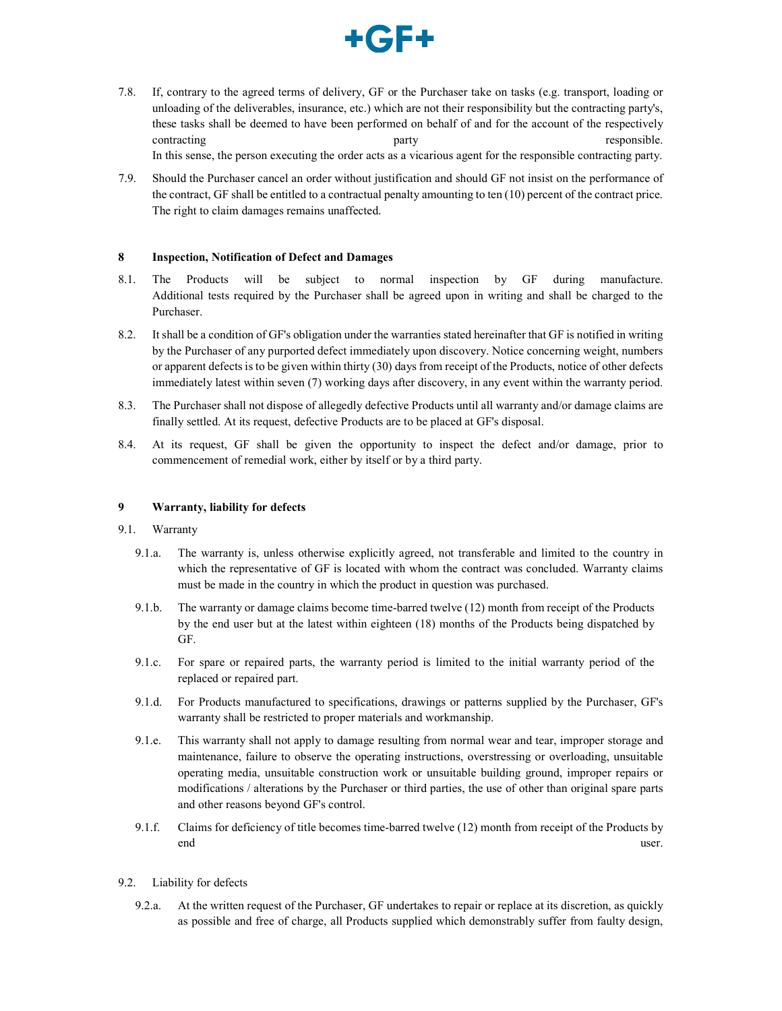

- 7.8. If, contrary to the agreed terms of delivery, GF or the Purchaser take on tasks (e.g. transport, loading or unloading of the deliverables, insurance, etc.) which are not their responsibility but the contracting party's, these tasks shall be deemed to have been performed on behalf of and for the account of the respectively contracting party party responsible. In this sense, the person executing the order acts as a vicarious agent for the responsible contracting party.
- 7.9. Should the Purchaser cancel an order without justification and should GF not insist on the performance of the contract, GF shall be entitled to a contractual penalty amounting to ten (10) percent of the contract price. The right to claim damages remains unaffected.

## 8 Inspection, Notification of Defect and Damages

- 8.1. The Products will be subject to normal inspection by GF during manufacture. Additional tests required by the Purchaser shall be agreed upon in writing and shall be charged to the Purchaser.
- 8.2. It shall be a condition of GF's obligation under the warranties stated hereinafter that GF is notified in writing by the Purchaser of any purported defect immediately upon discovery. Notice concerning weight, numbers or apparent defects is to be given within thirty (30) days from receipt of the Products, notice of other defects immediately latest within seven (7) working days after discovery, in any event within the warranty period.
- 8.3. The Purchaser shall not dispose of allegedly defective Products until all warranty and/or damage claims are finally settled. At its request, defective Products are to be placed at GF's disposal.
- 8.4. At its request, GF shall be given the opportunity to inspect the defect and/or damage, prior to commencement of remedial work, either by itself or by a third party.

### 9 Warranty, liability for defects

- 9.1. Warranty
	- 9.1.a. The warranty is, unless otherwise explicitly agreed, not transferable and limited to the country in which the representative of GF is located with whom the contract was concluded. Warranty claims must be made in the country in which the product in question was purchased.
	- 9.1.b. The warranty or damage claims become time-barred twelve (12) month from receipt of the Products by the end user but at the latest within eighteen (18) months of the Products being dispatched by GF.
	- 9.1.c. For spare or repaired parts, the warranty period is limited to the initial warranty period of the replaced or repaired part.
	- 9.1.d. For Products manufactured to specifications, drawings or patterns supplied by the Purchaser, GF's warranty shall be restricted to proper materials and workmanship.
	- 9.1.e. This warranty shall not apply to damage resulting from normal wear and tear, improper storage and maintenance, failure to observe the operating instructions, overstressing or overloading, unsuitable operating media, unsuitable construction work or unsuitable building ground, improper repairs or modifications / alterations by the Purchaser or third parties, the use of other than original spare parts and other reasons beyond GF's control.
	- 9.1.f. Claims for deficiency of title becomes time-barred twelve (12) month from receipt of the Products by end user.
- 9.2. Liability for defects
	- 9.2.a. At the written request of the Purchaser, GF undertakes to repair or replace at its discretion, as quickly as possible and free of charge, all Products supplied which demonstrably suffer from faulty design,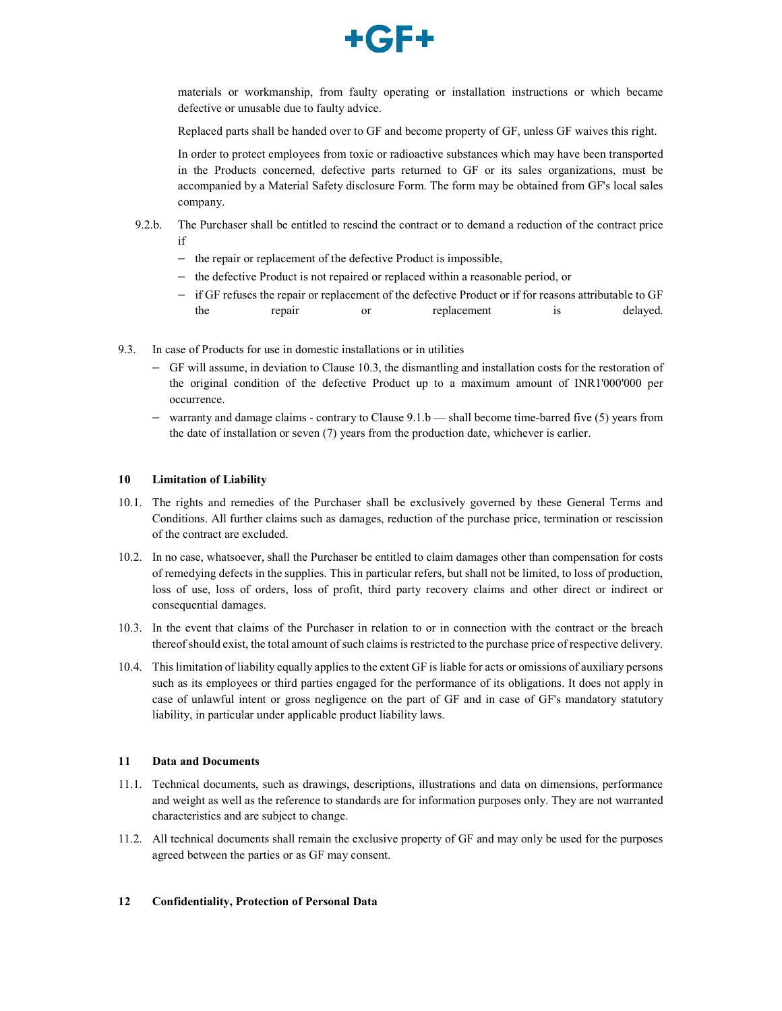

materials or workmanship, from faulty operating or installation instructions or which became defective or unusable due to faulty advice.

Replaced parts shall be handed over to GF and become property of GF, unless GF waives this right.

In order to protect employees from toxic or radioactive substances which may have been transported in the Products concerned, defective parts returned to GF or its sales organizations, must be accompanied by a Material Safety disclosure Form. The form may be obtained from GF's local sales company.

- 9.2.b. The Purchaser shall be entitled to rescind the contract or to demand a reduction of the contract price if
	- $-$  the repair or replacement of the defective Product is impossible,
	- $-$  the defective Product is not repaired or replaced within a reasonable period, or
	- if GF refuses the repair or replacement of the defective Product or if for reasons attributable to GF the repair or replacement is delayed.
- 9.3. In case of Products for use in domestic installations or in utilities
	- GF will assume, in deviation to Clause 10.3, the dismantling and installation costs for the restoration of the original condition of the defective Product up to a maximum amount of INR1'000'000 per occurrence.
	- warranty and damage claims contrary to Clause 9.1.b shall become time-barred five (5) years from the date of installation or seven (7) years from the production date, whichever is earlier.

### 10 Limitation of Liability

- 10.1. The rights and remedies of the Purchaser shall be exclusively governed by these General Terms and Conditions. All further claims such as damages, reduction of the purchase price, termination or rescission of the contract are excluded.
- 10.2. In no case, whatsoever, shall the Purchaser be entitled to claim damages other than compensation for costs of remedying defects in the supplies. This in particular refers, but shall not be limited, to loss of production, loss of use, loss of orders, loss of profit, third party recovery claims and other direct or indirect or consequential damages.
- 10.3. In the event that claims of the Purchaser in relation to or in connection with the contract or the breach thereof should exist, the total amount of such claims is restricted to the purchase price of respective delivery.
- 10.4. This limitation of liability equally applies to the extent GF is liable for acts or omissions of auxiliary persons such as its employees or third parties engaged for the performance of its obligations. It does not apply in case of unlawful intent or gross negligence on the part of GF and in case of GF's mandatory statutory liability, in particular under applicable product liability laws.

#### 11 Data and Documents

- 11.1. Technical documents, such as drawings, descriptions, illustrations and data on dimensions, performance and weight as well as the reference to standards are for information purposes only. They are not warranted characteristics and are subject to change.
- 11.2. All technical documents shall remain the exclusive property of GF and may only be used for the purposes agreed between the parties or as GF may consent.

## 12 Confidentiality, Protection of Personal Data